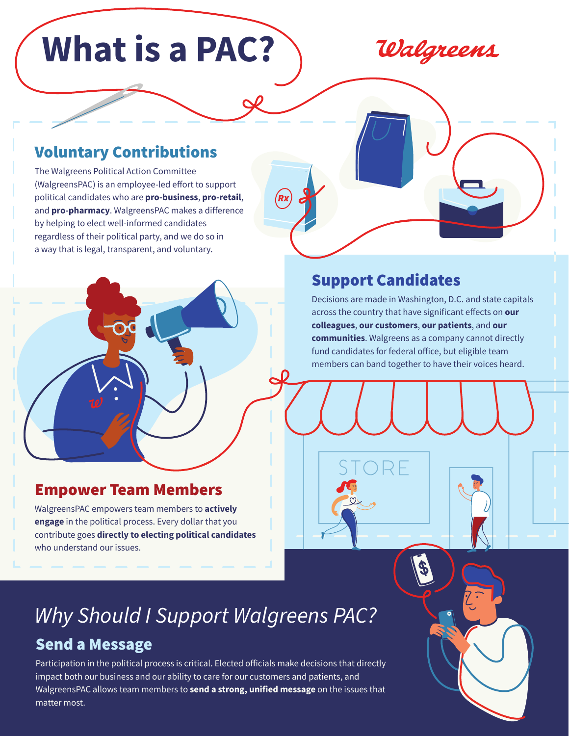# **What is a PAC?**

Walgreens

### Voluntary Contributions

The Walgreens Political Action Committee (WalgreensPAC) is an employee-led effort to support political candidates who are **pro-business**, **pro-retail**, and **pro-pharmacy**. WalgreensPAC makes a difference by helping to elect well-informed candidates regardless of their political party, and we do so in a way that is legal, transparent, and voluntary.

#### Support Candidates

Decisions are made in Washington, D.C. and state capitals across the country that have significant effects on **our colleagues**, **our customers**, **our patients**, and **our communities**. Walgreens as a company cannot directly fund candidates for federal office, but eligible team members can band together to have their voices heard.

#### Empower Team Members

WalgreensPAC empowers team members to **actively engage** in the political process. Every dollar that you contribute goes **directly to electing political candidates** who understand our issues.

## *Why Should I Support Walgreens PAC?*

#### Send a Message

Participation in the political process is critical. Elected officials make decisions that directly impact both our business and our ability to care for our customers and patients, and WalgreensPAC allows team members to **send a strong, unified message** on the issues that matter most.